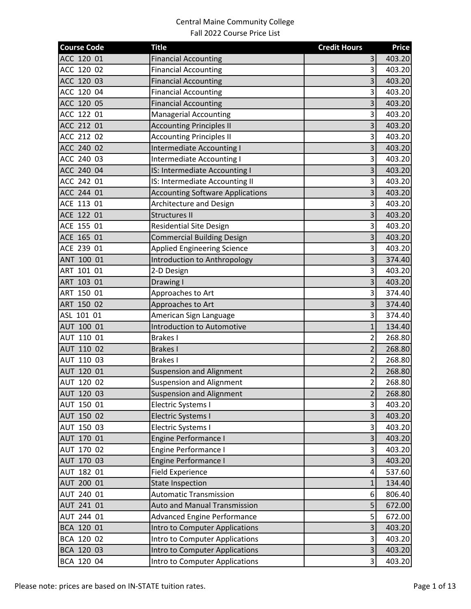| <b>Course Code</b> | <b>Title</b>                            | <b>Credit Hours</b>     | <b>Price</b> |
|--------------------|-----------------------------------------|-------------------------|--------------|
| ACC 120 01         | <b>Financial Accounting</b>             | 3                       | 403.20       |
| ACC 120 02         | <b>Financial Accounting</b>             | $\overline{3}$          | 403.20       |
| ACC 120 03         | <b>Financial Accounting</b>             | $\overline{3}$          | 403.20       |
| ACC 120 04         | <b>Financial Accounting</b>             | $\overline{\mathbf{3}}$ | 403.20       |
| ACC 120 05         | <b>Financial Accounting</b>             | $\overline{\mathbf{3}}$ | 403.20       |
| ACC 122 01         | <b>Managerial Accounting</b>            | 3                       | 403.20       |
| ACC 212 01         | <b>Accounting Principles II</b>         | $\overline{\mathbf{3}}$ | 403.20       |
| ACC 212 02         | <b>Accounting Principles II</b>         | 3                       | 403.20       |
| ACC 240 02         | <b>Intermediate Accounting I</b>        | $\overline{3}$          | 403.20       |
| ACC 240 03         | <b>Intermediate Accounting I</b>        | $\overline{\mathbf{3}}$ | 403.20       |
| ACC 240 04         | IS: Intermediate Accounting I           | $\overline{\mathbf{3}}$ | 403.20       |
| ACC 242 01         | IS: Intermediate Accounting II          | $\overline{\mathbf{3}}$ | 403.20       |
| ACC 244 01         | <b>Accounting Software Applications</b> | 3                       | 403.20       |
| ACE 113 01         | Architecture and Design                 | $\overline{\mathbf{3}}$ | 403.20       |
| ACE 122 01         | <b>Structures II</b>                    | $\overline{\mathbf{3}}$ | 403.20       |
| ACE 155 01         | <b>Residential Site Design</b>          | $\overline{\mathbf{3}}$ | 403.20       |
| ACE 165 01         | <b>Commercial Building Design</b>       | $\overline{\mathbf{3}}$ | 403.20       |
| ACE 239 01         | <b>Applied Engineering Science</b>      | $\overline{\mathbf{3}}$ | 403.20       |
| ANT 100 01         | Introduction to Anthropology            | 3                       | 374.40       |
| ART 101 01         | 2-D Design                              | 3                       | 403.20       |
| ART 103 01         | Drawing I                               | $\overline{\mathbf{3}}$ | 403.20       |
| ART 150 01         | Approaches to Art                       | $\overline{\mathbf{3}}$ | 374.40       |
| ART 150 02         | Approaches to Art                       | $\overline{\mathbf{3}}$ | 374.40       |
| ASL 101 01         | American Sign Language                  | $\overline{\mathbf{3}}$ | 374.40       |
| AUT 100 01         | <b>Introduction to Automotive</b>       | $\mathbf{1}$            | 134.40       |
| AUT 110 01         | <b>Brakes I</b>                         | $\overline{2}$          | 268.80       |
| AUT 110 02         | <b>Brakes I</b>                         | $\overline{2}$          | 268.80       |
| AUT 110 03         | <b>Brakes I</b>                         | $\overline{2}$          | 268.80       |
| AUT 120 01         | <b>Suspension and Alignment</b>         | $\overline{2}$          | 268.80       |
| AUT 120 02         | <b>Suspension and Alignment</b>         | $\overline{2}$          | 268.80       |
| AUT 120 03         | <b>Suspension and Alignment</b>         | $\overline{2}$          | 268.80       |
| AUT 150 01         | Electric Systems I                      | $\overline{\mathbf{3}}$ | 403.20       |
| AUT 150 02         | <b>Electric Systems I</b>               | $\overline{3}$          | 403.20       |
| AUT 150 03         | Electric Systems I                      | $\overline{\mathbf{3}}$ | 403.20       |
| AUT 170 01         | Engine Performance I                    | $\overline{\mathbf{3}}$ | 403.20       |
| AUT 170 02         | Engine Performance I                    | $\overline{\mathbf{3}}$ | 403.20       |
| AUT 170 03         | Engine Performance I                    | $\overline{\mathbf{3}}$ | 403.20       |
| AUT 182 01         | <b>Field Experience</b>                 | $\overline{\mathbf{r}}$ | 537.60       |
| AUT 200 01         | <b>State Inspection</b>                 | $\mathbf 1$             | 134.40       |
| AUT 240 01         | <b>Automatic Transmission</b>           | 6                       | 806.40       |
| AUT 241 01         | <b>Auto and Manual Transmission</b>     | 5                       | 672.00       |
| AUT 244 01         | <b>Advanced Engine Performance</b>      | $\overline{5}$          | 672.00       |
| BCA 120 01         | Intro to Computer Applications          | $\overline{\mathbf{3}}$ | 403.20       |
| BCA 120 02         | Intro to Computer Applications          | $\overline{\mathbf{3}}$ | 403.20       |
| BCA 120 03         | Intro to Computer Applications          | $\overline{\mathbf{3}}$ | 403.20       |
| BCA 120 04         | Intro to Computer Applications          | $\overline{\mathbf{3}}$ | 403.20       |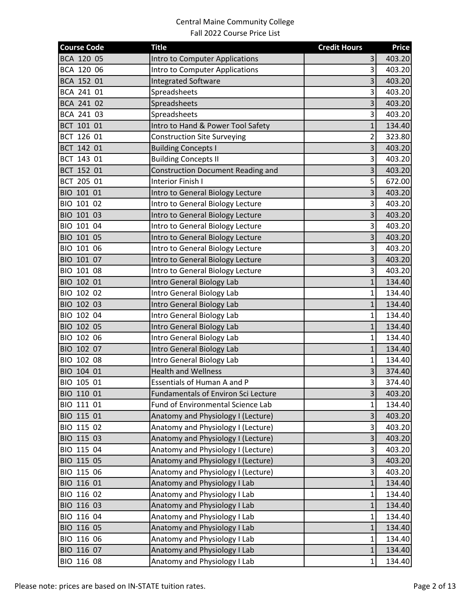| <b>Course Code</b> | <b>Title</b>                               | <b>Credit Hours</b>     | <b>Price</b> |
|--------------------|--------------------------------------------|-------------------------|--------------|
| BCA 120 05         | Intro to Computer Applications             | 3                       | 403.20       |
| BCA 120 06         | Intro to Computer Applications             | $\overline{3}$          | 403.20       |
| BCA 152 01         | <b>Integrated Software</b>                 | 3                       | 403.20       |
| BCA 241 01         | Spreadsheets                               | $\overline{\mathbf{3}}$ | 403.20       |
| BCA 241 02         | Spreadsheets                               | 3                       | 403.20       |
| BCA 241 03         | Spreadsheets                               | 3                       | 403.20       |
| BCT 101 01         | Intro to Hand & Power Tool Safety          | $\mathbf{1}$            | 134.40       |
| BCT 126 01         | <b>Construction Site Surveying</b>         | 2                       | 323.80       |
| BCT 142 01         | <b>Building Concepts I</b>                 | $\overline{3}$          | 403.20       |
| BCT 143 01         | <b>Building Concepts II</b>                | 3                       | 403.20       |
| BCT 152 01         | <b>Construction Document Reading and</b>   | 3                       | 403.20       |
| BCT 205 01         | Interior Finish I                          | 5                       | 672.00       |
| BIO 101 01         | Intro to General Biology Lecture           | 3                       | 403.20       |
| BIO 101 02         | Intro to General Biology Lecture           | 3                       | 403.20       |
| BIO 101 03         | Intro to General Biology Lecture           | 3                       | 403.20       |
| BIO 101 04         | Intro to General Biology Lecture           | $\overline{\mathbf{3}}$ | 403.20       |
| BIO 101 05         | Intro to General Biology Lecture           | $\overline{\mathbf{3}}$ | 403.20       |
| BIO 101 06         | Intro to General Biology Lecture           | 3                       | 403.20       |
| BIO 101 07         | Intro to General Biology Lecture           | 3                       | 403.20       |
| BIO 101 08         | Intro to General Biology Lecture           | 3                       | 403.20       |
| BIO 102 01         | Intro General Biology Lab                  | $\mathbf{1}$            | 134.40       |
| BIO 102 02         | Intro General Biology Lab                  | $\mathbf{1}$            | 134.40       |
| BIO 102 03         | Intro General Biology Lab                  | $\mathbf{1}$            | 134.40       |
| BIO 102 04         | Intro General Biology Lab                  | 1                       | 134.40       |
| BIO 102 05         | Intro General Biology Lab                  | $\mathbf{1}$            | 134.40       |
| BIO 102 06         | Intro General Biology Lab                  | $\mathbf{1}$            | 134.40       |
| BIO 102 07         | Intro General Biology Lab                  | $\mathbf{1}$            | 134.40       |
| BIO 102 08         | Intro General Biology Lab                  | $\mathbf{1}$            | 134.40       |
| BIO 104 01         | <b>Health and Wellness</b>                 | $\overline{\mathbf{3}}$ | 374.40       |
| BIO 105 01         | Essentials of Human A and P                | $\overline{3}$          | 374.40       |
| BIO 110 01         | <b>Fundamentals of Environ Sci Lecture</b> | 3                       | 403.20       |
| BIO 111 01         | Fund of Environmental Science Lab          | 1                       | 134.40       |
| BIO 115 01         | Anatomy and Physiology I (Lecture)         | 3                       | 403.20       |
| BIO 115 02         | Anatomy and Physiology I (Lecture)         | $\overline{\mathbf{3}}$ | 403.20       |
| BIO 115 03         | Anatomy and Physiology I (Lecture)         | $\overline{\mathbf{3}}$ | 403.20       |
| BIO 115 04         | Anatomy and Physiology I (Lecture)         | $\overline{\mathbf{3}}$ | 403.20       |
| BIO 115 05         | Anatomy and Physiology I (Lecture)         | $\overline{3}$          | 403.20       |
| BIO 115 06         | Anatomy and Physiology I (Lecture)         | $\overline{\mathbf{3}}$ | 403.20       |
| BIO 116 01         | Anatomy and Physiology I Lab               | $\mathbf{1}$            | 134.40       |
| BIO 116 02         | Anatomy and Physiology I Lab               | $\mathbf{1}$            | 134.40       |
| BIO 116 03         | Anatomy and Physiology I Lab               | 1                       | 134.40       |
| BIO 116 04         | Anatomy and Physiology I Lab               | $\mathbf{1}$            | 134.40       |
| BIO 116 05         | Anatomy and Physiology I Lab               | $\mathbf{1}$            | 134.40       |
| BIO 116 06         | Anatomy and Physiology I Lab               | $\mathbf{1}$            | 134.40       |
| BIO 116 07         | Anatomy and Physiology I Lab               | $\mathbf{1}$            | 134.40       |
| BIO 116 08         | Anatomy and Physiology I Lab               | $\mathbf{1}$            | 134.40       |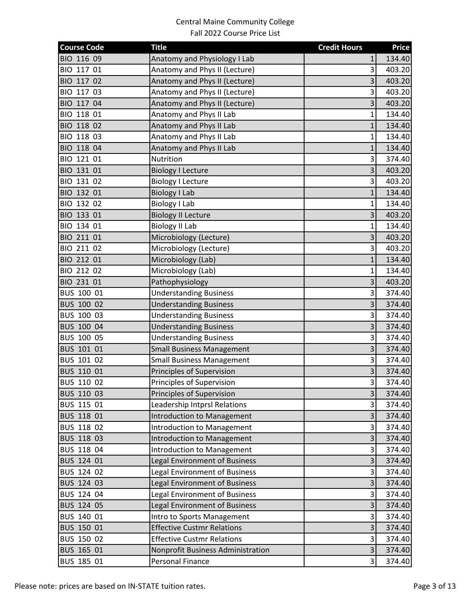| <b>Course Code</b> | <b>Title</b>                         | <b>Credit Hours</b>     | <b>Price</b> |
|--------------------|--------------------------------------|-------------------------|--------------|
| BIO 116 09         | Anatomy and Physiology I Lab         | 1                       | 134.40       |
| BIO 117 01         | Anatomy and Phys II (Lecture)        | $\overline{\mathbf{3}}$ | 403.20       |
| BIO 117 02         | Anatomy and Phys II (Lecture)        | 3                       | 403.20       |
| BIO 117 03         | Anatomy and Phys II (Lecture)        | $\overline{\mathbf{3}}$ | 403.20       |
| BIO 117 04         | Anatomy and Phys II (Lecture)        | $\overline{\mathbf{3}}$ | 403.20       |
| BIO 118 01         | Anatomy and Phys II Lab              | $\mathbf{1}$            | 134.40       |
| BIO 118 02         | Anatomy and Phys II Lab              | $\mathbf{1}$            | 134.40       |
| BIO 118 03         | Anatomy and Phys II Lab              | 1                       | 134.40       |
| BIO 118 04         | Anatomy and Phys II Lab              | $\mathbf{1}$            | 134.40       |
| BIO 121 01         | Nutrition                            | $\overline{\mathbf{3}}$ | 374.40       |
| BIO 131 01         | <b>Biology I Lecture</b>             | $\overline{\mathbf{3}}$ | 403.20       |
| BIO 131 02         | <b>Biology I Lecture</b>             | $\overline{\mathbf{3}}$ | 403.20       |
| BIO 132 01         | <b>Biology I Lab</b>                 | $\mathbf{1}$            | 134.40       |
| BIO 132 02         | <b>Biology I Lab</b>                 | $\mathbf{1}$            | 134.40       |
| BIO 133 01         | <b>Biology II Lecture</b>            | 3                       | 403.20       |
| BIO 134 01         | <b>Biology II Lab</b>                | $\mathbf{1}$            | 134.40       |
| BIO 211 01         | Microbiology (Lecture)               | $\overline{\mathbf{3}}$ | 403.20       |
| BIO 211 02         | Microbiology (Lecture)               | $\overline{\mathbf{3}}$ | 403.20       |
| BIO 212 01         | Microbiology (Lab)                   | $\mathbf{1}$            | 134.40       |
| BIO 212 02         | Microbiology (Lab)                   | 1                       | 134.40       |
| BIO 231 01         | Pathophysiology                      | 3                       | 403.20       |
| BUS 100 01         | <b>Understanding Business</b>        | $\overline{\mathbf{3}}$ | 374.40       |
| BUS 100 02         | <b>Understanding Business</b>        | $\overline{\mathbf{3}}$ | 374.40       |
| BUS 100 03         | <b>Understanding Business</b>        | $\overline{\mathbf{3}}$ | 374.40       |
| BUS 100 04         | <b>Understanding Business</b>        | 3                       | 374.40       |
| BUS 100 05         | <b>Understanding Business</b>        | $\overline{\mathbf{3}}$ | 374.40       |
| BUS 101 01         | <b>Small Business Management</b>     | 3                       | 374.40       |
| BUS 101 02         | <b>Small Business Management</b>     | $\overline{\mathbf{3}}$ | 374.40       |
| BUS 110 01         | Principles of Supervision            | $\overline{\mathbf{3}}$ | 374.40       |
| BUS 110 02         | Principles of Supervision            | $\overline{3}$          | 374.40       |
| BUS 110 03         | Principles of Supervision            | 3                       | 374.40       |
| BUS 115 01         | Leadership Intprsl Relations         | 3                       | 374.40       |
| BUS 118 01         | Introduction to Management           | 3                       | 374.40       |
| BUS 118 02         | Introduction to Management           | 3                       | 374.40       |
| BUS 118 03         | Introduction to Management           | 3                       | 374.40       |
| BUS 118 04         | <b>Introduction to Management</b>    | 3                       | 374.40       |
| BUS 124 01         | Legal Environment of Business        | 3                       | 374.40       |
| BUS 124 02         | <b>Legal Environment of Business</b> | $\overline{\mathbf{3}}$ | 374.40       |
| BUS 124 03         | <b>Legal Environment of Business</b> | 3                       | 374.40       |
| BUS 124 04         | Legal Environment of Business        | $\overline{\mathbf{3}}$ | 374.40       |
| BUS 124 05         | Legal Environment of Business        | $\overline{\mathbf{3}}$ | 374.40       |
| BUS 140 01         | Intro to Sports Management           | $\overline{\mathbf{3}}$ | 374.40       |
| BUS 150 01         | <b>Effective Custmr Relations</b>    | $\overline{\mathbf{3}}$ | 374.40       |
| BUS 150 02         | <b>Effective Custmr Relations</b>    | $\overline{\mathbf{3}}$ | 374.40       |
| BUS 165 01         | Nonprofit Business Administration    | $\overline{\mathbf{3}}$ | 374.40       |
| BUS 185 01         | Personal Finance                     | $\overline{\mathbf{3}}$ | 374.40       |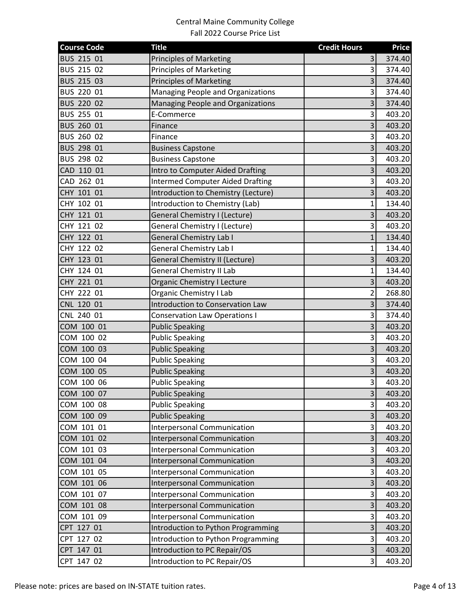| BUS 215 01<br><b>Principles of Marketing</b><br>3<br>374.40<br>BUS 215 02<br><b>Principles of Marketing</b><br>3<br>374.40<br>3<br>BUS 215 03<br><b>Principles of Marketing</b><br>374.40<br>$\overline{3}$<br>BUS 220 01<br>Managing People and Organizations<br>374.40<br>$\overline{\mathbf{3}}$<br>BUS 220 02<br>Managing People and Organizations<br>374.40<br>BUS 255 01<br>3<br>403.20<br>E-Commerce<br>3<br>BUS 260 01<br>403.20<br>Finance<br>BUS 260 02<br>3<br>403.20<br>Finance<br>3<br>BUS 298 01<br>403.20<br><b>Business Capstone</b><br>$\overline{3}$<br>BUS 298 02<br><b>Business Capstone</b><br>403.20<br>$\overline{\mathbf{3}}$<br>CAD 110 01<br>Intro to Computer Aided Drafting<br>403.20<br>CAD 262 01<br><b>Intermed Computer Aided Drafting</b><br>$\overline{\mathbf{3}}$<br>403.20<br>3<br>CHY 101 01<br>Introduction to Chemistry (Lecture)<br>403.20<br>CHY 102 01<br>Introduction to Chemistry (Lab)<br>134.40<br>$\mathbf{1}$<br>CHY 121 01<br><b>General Chemistry I (Lecture)</b><br>3<br>403.20<br>CHY 121 02<br>General Chemistry I (Lecture)<br>$\overline{3}$<br>403.20<br>CHY 122 01<br><b>General Chemistry Lab I</b><br>$\mathbf{1}$<br>134.40<br>CHY 122 02<br><b>General Chemistry Lab I</b><br>$\mathbf{1}$<br>134.40<br>$\overline{\mathbf{3}}$<br>CHY 123 01<br><b>General Chemistry II (Lecture)</b><br>403.20<br><b>General Chemistry II Lab</b><br>CHY 124 01<br>134.40<br>1<br>3<br>CHY 221 01<br><b>Organic Chemistry I Lecture</b><br>403.20<br>Organic Chemistry I Lab<br>$\overline{2}$<br>CHY 222 01<br>268.80<br>$\overline{3}$<br>CNL 120 01<br>Introduction to Conservation Law<br>374.40<br>$\overline{\mathbf{3}}$<br>CNL 240 01<br><b>Conservation Law Operations I</b><br>374.40<br>3<br>COM 100 01<br>403.20<br><b>Public Speaking</b><br>$\overline{\mathbf{3}}$<br>COM 100 02<br><b>Public Speaking</b><br>403.20<br>3<br>COM 100 03<br><b>Public Speaking</b><br>403.20<br><b>Public Speaking</b><br>$\overline{\mathbf{3}}$<br>COM 100 04<br>403.20<br>3<br>COM 100 05<br><b>Public Speaking</b><br>403.20<br>$\overline{3}$<br>COM 100 06<br><b>Public Speaking</b><br>403.20<br>3<br>COM 100 07<br><b>Public Speaking</b><br>403.20<br>3<br><b>Public Speaking</b><br>COM 100 08<br>403.20<br>COM 100 09<br><b>Public Speaking</b><br>3<br>403.20<br>COM 101 01<br><b>Interpersonal Communication</b><br>3<br>403.20<br>3<br>COM 101 02<br><b>Interpersonal Communication</b><br>403.20<br>3<br>COM 101 03<br><b>Interpersonal Communication</b><br>403.20<br>COM 101 04<br>3<br>Interpersonal Communication<br>403.20<br>$\overline{\mathbf{3}}$<br>COM 101 05<br><b>Interpersonal Communication</b><br>403.20<br>COM 101 06<br>3<br><b>Interpersonal Communication</b><br>403.20<br>$\overline{\mathbf{3}}$<br>COM 101 07<br><b>Interpersonal Communication</b><br>403.20<br>$\overline{\mathbf{3}}$<br>COM 101 08<br><b>Interpersonal Communication</b><br>403.20 | <b>Course Code</b> | <b>Title</b> | <b>Credit Hours</b> | <b>Price</b> |
|--------------------------------------------------------------------------------------------------------------------------------------------------------------------------------------------------------------------------------------------------------------------------------------------------------------------------------------------------------------------------------------------------------------------------------------------------------------------------------------------------------------------------------------------------------------------------------------------------------------------------------------------------------------------------------------------------------------------------------------------------------------------------------------------------------------------------------------------------------------------------------------------------------------------------------------------------------------------------------------------------------------------------------------------------------------------------------------------------------------------------------------------------------------------------------------------------------------------------------------------------------------------------------------------------------------------------------------------------------------------------------------------------------------------------------------------------------------------------------------------------------------------------------------------------------------------------------------------------------------------------------------------------------------------------------------------------------------------------------------------------------------------------------------------------------------------------------------------------------------------------------------------------------------------------------------------------------------------------------------------------------------------------------------------------------------------------------------------------------------------------------------------------------------------------------------------------------------------------------------------------------------------------------------------------------------------------------------------------------------------------------------------------------------------------------------------------------------------------------------------------------------------------------------------------------------------------------------------------------------------------------------------------------------------------------------------------------------------------------------------------------------------------------------------------------------------------------------------------------------------------------------------------------------------------------------------|--------------------|--------------|---------------------|--------------|
|                                                                                                                                                                                                                                                                                                                                                                                                                                                                                                                                                                                                                                                                                                                                                                                                                                                                                                                                                                                                                                                                                                                                                                                                                                                                                                                                                                                                                                                                                                                                                                                                                                                                                                                                                                                                                                                                                                                                                                                                                                                                                                                                                                                                                                                                                                                                                                                                                                                                                                                                                                                                                                                                                                                                                                                                                                                                                                                                            |                    |              |                     |              |
|                                                                                                                                                                                                                                                                                                                                                                                                                                                                                                                                                                                                                                                                                                                                                                                                                                                                                                                                                                                                                                                                                                                                                                                                                                                                                                                                                                                                                                                                                                                                                                                                                                                                                                                                                                                                                                                                                                                                                                                                                                                                                                                                                                                                                                                                                                                                                                                                                                                                                                                                                                                                                                                                                                                                                                                                                                                                                                                                            |                    |              |                     |              |
|                                                                                                                                                                                                                                                                                                                                                                                                                                                                                                                                                                                                                                                                                                                                                                                                                                                                                                                                                                                                                                                                                                                                                                                                                                                                                                                                                                                                                                                                                                                                                                                                                                                                                                                                                                                                                                                                                                                                                                                                                                                                                                                                                                                                                                                                                                                                                                                                                                                                                                                                                                                                                                                                                                                                                                                                                                                                                                                                            |                    |              |                     |              |
|                                                                                                                                                                                                                                                                                                                                                                                                                                                                                                                                                                                                                                                                                                                                                                                                                                                                                                                                                                                                                                                                                                                                                                                                                                                                                                                                                                                                                                                                                                                                                                                                                                                                                                                                                                                                                                                                                                                                                                                                                                                                                                                                                                                                                                                                                                                                                                                                                                                                                                                                                                                                                                                                                                                                                                                                                                                                                                                                            |                    |              |                     |              |
|                                                                                                                                                                                                                                                                                                                                                                                                                                                                                                                                                                                                                                                                                                                                                                                                                                                                                                                                                                                                                                                                                                                                                                                                                                                                                                                                                                                                                                                                                                                                                                                                                                                                                                                                                                                                                                                                                                                                                                                                                                                                                                                                                                                                                                                                                                                                                                                                                                                                                                                                                                                                                                                                                                                                                                                                                                                                                                                                            |                    |              |                     |              |
|                                                                                                                                                                                                                                                                                                                                                                                                                                                                                                                                                                                                                                                                                                                                                                                                                                                                                                                                                                                                                                                                                                                                                                                                                                                                                                                                                                                                                                                                                                                                                                                                                                                                                                                                                                                                                                                                                                                                                                                                                                                                                                                                                                                                                                                                                                                                                                                                                                                                                                                                                                                                                                                                                                                                                                                                                                                                                                                                            |                    |              |                     |              |
|                                                                                                                                                                                                                                                                                                                                                                                                                                                                                                                                                                                                                                                                                                                                                                                                                                                                                                                                                                                                                                                                                                                                                                                                                                                                                                                                                                                                                                                                                                                                                                                                                                                                                                                                                                                                                                                                                                                                                                                                                                                                                                                                                                                                                                                                                                                                                                                                                                                                                                                                                                                                                                                                                                                                                                                                                                                                                                                                            |                    |              |                     |              |
|                                                                                                                                                                                                                                                                                                                                                                                                                                                                                                                                                                                                                                                                                                                                                                                                                                                                                                                                                                                                                                                                                                                                                                                                                                                                                                                                                                                                                                                                                                                                                                                                                                                                                                                                                                                                                                                                                                                                                                                                                                                                                                                                                                                                                                                                                                                                                                                                                                                                                                                                                                                                                                                                                                                                                                                                                                                                                                                                            |                    |              |                     |              |
|                                                                                                                                                                                                                                                                                                                                                                                                                                                                                                                                                                                                                                                                                                                                                                                                                                                                                                                                                                                                                                                                                                                                                                                                                                                                                                                                                                                                                                                                                                                                                                                                                                                                                                                                                                                                                                                                                                                                                                                                                                                                                                                                                                                                                                                                                                                                                                                                                                                                                                                                                                                                                                                                                                                                                                                                                                                                                                                                            |                    |              |                     |              |
|                                                                                                                                                                                                                                                                                                                                                                                                                                                                                                                                                                                                                                                                                                                                                                                                                                                                                                                                                                                                                                                                                                                                                                                                                                                                                                                                                                                                                                                                                                                                                                                                                                                                                                                                                                                                                                                                                                                                                                                                                                                                                                                                                                                                                                                                                                                                                                                                                                                                                                                                                                                                                                                                                                                                                                                                                                                                                                                                            |                    |              |                     |              |
|                                                                                                                                                                                                                                                                                                                                                                                                                                                                                                                                                                                                                                                                                                                                                                                                                                                                                                                                                                                                                                                                                                                                                                                                                                                                                                                                                                                                                                                                                                                                                                                                                                                                                                                                                                                                                                                                                                                                                                                                                                                                                                                                                                                                                                                                                                                                                                                                                                                                                                                                                                                                                                                                                                                                                                                                                                                                                                                                            |                    |              |                     |              |
|                                                                                                                                                                                                                                                                                                                                                                                                                                                                                                                                                                                                                                                                                                                                                                                                                                                                                                                                                                                                                                                                                                                                                                                                                                                                                                                                                                                                                                                                                                                                                                                                                                                                                                                                                                                                                                                                                                                                                                                                                                                                                                                                                                                                                                                                                                                                                                                                                                                                                                                                                                                                                                                                                                                                                                                                                                                                                                                                            |                    |              |                     |              |
|                                                                                                                                                                                                                                                                                                                                                                                                                                                                                                                                                                                                                                                                                                                                                                                                                                                                                                                                                                                                                                                                                                                                                                                                                                                                                                                                                                                                                                                                                                                                                                                                                                                                                                                                                                                                                                                                                                                                                                                                                                                                                                                                                                                                                                                                                                                                                                                                                                                                                                                                                                                                                                                                                                                                                                                                                                                                                                                                            |                    |              |                     |              |
|                                                                                                                                                                                                                                                                                                                                                                                                                                                                                                                                                                                                                                                                                                                                                                                                                                                                                                                                                                                                                                                                                                                                                                                                                                                                                                                                                                                                                                                                                                                                                                                                                                                                                                                                                                                                                                                                                                                                                                                                                                                                                                                                                                                                                                                                                                                                                                                                                                                                                                                                                                                                                                                                                                                                                                                                                                                                                                                                            |                    |              |                     |              |
|                                                                                                                                                                                                                                                                                                                                                                                                                                                                                                                                                                                                                                                                                                                                                                                                                                                                                                                                                                                                                                                                                                                                                                                                                                                                                                                                                                                                                                                                                                                                                                                                                                                                                                                                                                                                                                                                                                                                                                                                                                                                                                                                                                                                                                                                                                                                                                                                                                                                                                                                                                                                                                                                                                                                                                                                                                                                                                                                            |                    |              |                     |              |
|                                                                                                                                                                                                                                                                                                                                                                                                                                                                                                                                                                                                                                                                                                                                                                                                                                                                                                                                                                                                                                                                                                                                                                                                                                                                                                                                                                                                                                                                                                                                                                                                                                                                                                                                                                                                                                                                                                                                                                                                                                                                                                                                                                                                                                                                                                                                                                                                                                                                                                                                                                                                                                                                                                                                                                                                                                                                                                                                            |                    |              |                     |              |
|                                                                                                                                                                                                                                                                                                                                                                                                                                                                                                                                                                                                                                                                                                                                                                                                                                                                                                                                                                                                                                                                                                                                                                                                                                                                                                                                                                                                                                                                                                                                                                                                                                                                                                                                                                                                                                                                                                                                                                                                                                                                                                                                                                                                                                                                                                                                                                                                                                                                                                                                                                                                                                                                                                                                                                                                                                                                                                                                            |                    |              |                     |              |
|                                                                                                                                                                                                                                                                                                                                                                                                                                                                                                                                                                                                                                                                                                                                                                                                                                                                                                                                                                                                                                                                                                                                                                                                                                                                                                                                                                                                                                                                                                                                                                                                                                                                                                                                                                                                                                                                                                                                                                                                                                                                                                                                                                                                                                                                                                                                                                                                                                                                                                                                                                                                                                                                                                                                                                                                                                                                                                                                            |                    |              |                     |              |
|                                                                                                                                                                                                                                                                                                                                                                                                                                                                                                                                                                                                                                                                                                                                                                                                                                                                                                                                                                                                                                                                                                                                                                                                                                                                                                                                                                                                                                                                                                                                                                                                                                                                                                                                                                                                                                                                                                                                                                                                                                                                                                                                                                                                                                                                                                                                                                                                                                                                                                                                                                                                                                                                                                                                                                                                                                                                                                                                            |                    |              |                     |              |
|                                                                                                                                                                                                                                                                                                                                                                                                                                                                                                                                                                                                                                                                                                                                                                                                                                                                                                                                                                                                                                                                                                                                                                                                                                                                                                                                                                                                                                                                                                                                                                                                                                                                                                                                                                                                                                                                                                                                                                                                                                                                                                                                                                                                                                                                                                                                                                                                                                                                                                                                                                                                                                                                                                                                                                                                                                                                                                                                            |                    |              |                     |              |
|                                                                                                                                                                                                                                                                                                                                                                                                                                                                                                                                                                                                                                                                                                                                                                                                                                                                                                                                                                                                                                                                                                                                                                                                                                                                                                                                                                                                                                                                                                                                                                                                                                                                                                                                                                                                                                                                                                                                                                                                                                                                                                                                                                                                                                                                                                                                                                                                                                                                                                                                                                                                                                                                                                                                                                                                                                                                                                                                            |                    |              |                     |              |
|                                                                                                                                                                                                                                                                                                                                                                                                                                                                                                                                                                                                                                                                                                                                                                                                                                                                                                                                                                                                                                                                                                                                                                                                                                                                                                                                                                                                                                                                                                                                                                                                                                                                                                                                                                                                                                                                                                                                                                                                                                                                                                                                                                                                                                                                                                                                                                                                                                                                                                                                                                                                                                                                                                                                                                                                                                                                                                                                            |                    |              |                     |              |
|                                                                                                                                                                                                                                                                                                                                                                                                                                                                                                                                                                                                                                                                                                                                                                                                                                                                                                                                                                                                                                                                                                                                                                                                                                                                                                                                                                                                                                                                                                                                                                                                                                                                                                                                                                                                                                                                                                                                                                                                                                                                                                                                                                                                                                                                                                                                                                                                                                                                                                                                                                                                                                                                                                                                                                                                                                                                                                                                            |                    |              |                     |              |
|                                                                                                                                                                                                                                                                                                                                                                                                                                                                                                                                                                                                                                                                                                                                                                                                                                                                                                                                                                                                                                                                                                                                                                                                                                                                                                                                                                                                                                                                                                                                                                                                                                                                                                                                                                                                                                                                                                                                                                                                                                                                                                                                                                                                                                                                                                                                                                                                                                                                                                                                                                                                                                                                                                                                                                                                                                                                                                                                            |                    |              |                     |              |
|                                                                                                                                                                                                                                                                                                                                                                                                                                                                                                                                                                                                                                                                                                                                                                                                                                                                                                                                                                                                                                                                                                                                                                                                                                                                                                                                                                                                                                                                                                                                                                                                                                                                                                                                                                                                                                                                                                                                                                                                                                                                                                                                                                                                                                                                                                                                                                                                                                                                                                                                                                                                                                                                                                                                                                                                                                                                                                                                            |                    |              |                     |              |
|                                                                                                                                                                                                                                                                                                                                                                                                                                                                                                                                                                                                                                                                                                                                                                                                                                                                                                                                                                                                                                                                                                                                                                                                                                                                                                                                                                                                                                                                                                                                                                                                                                                                                                                                                                                                                                                                                                                                                                                                                                                                                                                                                                                                                                                                                                                                                                                                                                                                                                                                                                                                                                                                                                                                                                                                                                                                                                                                            |                    |              |                     |              |
|                                                                                                                                                                                                                                                                                                                                                                                                                                                                                                                                                                                                                                                                                                                                                                                                                                                                                                                                                                                                                                                                                                                                                                                                                                                                                                                                                                                                                                                                                                                                                                                                                                                                                                                                                                                                                                                                                                                                                                                                                                                                                                                                                                                                                                                                                                                                                                                                                                                                                                                                                                                                                                                                                                                                                                                                                                                                                                                                            |                    |              |                     |              |
|                                                                                                                                                                                                                                                                                                                                                                                                                                                                                                                                                                                                                                                                                                                                                                                                                                                                                                                                                                                                                                                                                                                                                                                                                                                                                                                                                                                                                                                                                                                                                                                                                                                                                                                                                                                                                                                                                                                                                                                                                                                                                                                                                                                                                                                                                                                                                                                                                                                                                                                                                                                                                                                                                                                                                                                                                                                                                                                                            |                    |              |                     |              |
|                                                                                                                                                                                                                                                                                                                                                                                                                                                                                                                                                                                                                                                                                                                                                                                                                                                                                                                                                                                                                                                                                                                                                                                                                                                                                                                                                                                                                                                                                                                                                                                                                                                                                                                                                                                                                                                                                                                                                                                                                                                                                                                                                                                                                                                                                                                                                                                                                                                                                                                                                                                                                                                                                                                                                                                                                                                                                                                                            |                    |              |                     |              |
|                                                                                                                                                                                                                                                                                                                                                                                                                                                                                                                                                                                                                                                                                                                                                                                                                                                                                                                                                                                                                                                                                                                                                                                                                                                                                                                                                                                                                                                                                                                                                                                                                                                                                                                                                                                                                                                                                                                                                                                                                                                                                                                                                                                                                                                                                                                                                                                                                                                                                                                                                                                                                                                                                                                                                                                                                                                                                                                                            |                    |              |                     |              |
|                                                                                                                                                                                                                                                                                                                                                                                                                                                                                                                                                                                                                                                                                                                                                                                                                                                                                                                                                                                                                                                                                                                                                                                                                                                                                                                                                                                                                                                                                                                                                                                                                                                                                                                                                                                                                                                                                                                                                                                                                                                                                                                                                                                                                                                                                                                                                                                                                                                                                                                                                                                                                                                                                                                                                                                                                                                                                                                                            |                    |              |                     |              |
|                                                                                                                                                                                                                                                                                                                                                                                                                                                                                                                                                                                                                                                                                                                                                                                                                                                                                                                                                                                                                                                                                                                                                                                                                                                                                                                                                                                                                                                                                                                                                                                                                                                                                                                                                                                                                                                                                                                                                                                                                                                                                                                                                                                                                                                                                                                                                                                                                                                                                                                                                                                                                                                                                                                                                                                                                                                                                                                                            |                    |              |                     |              |
|                                                                                                                                                                                                                                                                                                                                                                                                                                                                                                                                                                                                                                                                                                                                                                                                                                                                                                                                                                                                                                                                                                                                                                                                                                                                                                                                                                                                                                                                                                                                                                                                                                                                                                                                                                                                                                                                                                                                                                                                                                                                                                                                                                                                                                                                                                                                                                                                                                                                                                                                                                                                                                                                                                                                                                                                                                                                                                                                            |                    |              |                     |              |
|                                                                                                                                                                                                                                                                                                                                                                                                                                                                                                                                                                                                                                                                                                                                                                                                                                                                                                                                                                                                                                                                                                                                                                                                                                                                                                                                                                                                                                                                                                                                                                                                                                                                                                                                                                                                                                                                                                                                                                                                                                                                                                                                                                                                                                                                                                                                                                                                                                                                                                                                                                                                                                                                                                                                                                                                                                                                                                                                            |                    |              |                     |              |
|                                                                                                                                                                                                                                                                                                                                                                                                                                                                                                                                                                                                                                                                                                                                                                                                                                                                                                                                                                                                                                                                                                                                                                                                                                                                                                                                                                                                                                                                                                                                                                                                                                                                                                                                                                                                                                                                                                                                                                                                                                                                                                                                                                                                                                                                                                                                                                                                                                                                                                                                                                                                                                                                                                                                                                                                                                                                                                                                            |                    |              |                     |              |
|                                                                                                                                                                                                                                                                                                                                                                                                                                                                                                                                                                                                                                                                                                                                                                                                                                                                                                                                                                                                                                                                                                                                                                                                                                                                                                                                                                                                                                                                                                                                                                                                                                                                                                                                                                                                                                                                                                                                                                                                                                                                                                                                                                                                                                                                                                                                                                                                                                                                                                                                                                                                                                                                                                                                                                                                                                                                                                                                            |                    |              |                     |              |
|                                                                                                                                                                                                                                                                                                                                                                                                                                                                                                                                                                                                                                                                                                                                                                                                                                                                                                                                                                                                                                                                                                                                                                                                                                                                                                                                                                                                                                                                                                                                                                                                                                                                                                                                                                                                                                                                                                                                                                                                                                                                                                                                                                                                                                                                                                                                                                                                                                                                                                                                                                                                                                                                                                                                                                                                                                                                                                                                            |                    |              |                     |              |
|                                                                                                                                                                                                                                                                                                                                                                                                                                                                                                                                                                                                                                                                                                                                                                                                                                                                                                                                                                                                                                                                                                                                                                                                                                                                                                                                                                                                                                                                                                                                                                                                                                                                                                                                                                                                                                                                                                                                                                                                                                                                                                                                                                                                                                                                                                                                                                                                                                                                                                                                                                                                                                                                                                                                                                                                                                                                                                                                            |                    |              |                     |              |
|                                                                                                                                                                                                                                                                                                                                                                                                                                                                                                                                                                                                                                                                                                                                                                                                                                                                                                                                                                                                                                                                                                                                                                                                                                                                                                                                                                                                                                                                                                                                                                                                                                                                                                                                                                                                                                                                                                                                                                                                                                                                                                                                                                                                                                                                                                                                                                                                                                                                                                                                                                                                                                                                                                                                                                                                                                                                                                                                            |                    |              |                     |              |
|                                                                                                                                                                                                                                                                                                                                                                                                                                                                                                                                                                                                                                                                                                                                                                                                                                                                                                                                                                                                                                                                                                                                                                                                                                                                                                                                                                                                                                                                                                                                                                                                                                                                                                                                                                                                                                                                                                                                                                                                                                                                                                                                                                                                                                                                                                                                                                                                                                                                                                                                                                                                                                                                                                                                                                                                                                                                                                                                            |                    |              |                     |              |
| $\overline{\mathbf{3}}$<br>COM 101 09<br>Interpersonal Communication<br>403.20                                                                                                                                                                                                                                                                                                                                                                                                                                                                                                                                                                                                                                                                                                                                                                                                                                                                                                                                                                                                                                                                                                                                                                                                                                                                                                                                                                                                                                                                                                                                                                                                                                                                                                                                                                                                                                                                                                                                                                                                                                                                                                                                                                                                                                                                                                                                                                                                                                                                                                                                                                                                                                                                                                                                                                                                                                                             |                    |              |                     |              |
| $\overline{\mathbf{3}}$<br>CPT 127 01<br>Introduction to Python Programming<br>403.20                                                                                                                                                                                                                                                                                                                                                                                                                                                                                                                                                                                                                                                                                                                                                                                                                                                                                                                                                                                                                                                                                                                                                                                                                                                                                                                                                                                                                                                                                                                                                                                                                                                                                                                                                                                                                                                                                                                                                                                                                                                                                                                                                                                                                                                                                                                                                                                                                                                                                                                                                                                                                                                                                                                                                                                                                                                      |                    |              |                     |              |
| $\overline{\mathbf{3}}$<br>CPT 127 02<br>Introduction to Python Programming<br>403.20                                                                                                                                                                                                                                                                                                                                                                                                                                                                                                                                                                                                                                                                                                                                                                                                                                                                                                                                                                                                                                                                                                                                                                                                                                                                                                                                                                                                                                                                                                                                                                                                                                                                                                                                                                                                                                                                                                                                                                                                                                                                                                                                                                                                                                                                                                                                                                                                                                                                                                                                                                                                                                                                                                                                                                                                                                                      |                    |              |                     |              |
| $\overline{\mathbf{3}}$<br>CPT 147 01<br>Introduction to PC Repair/OS<br>403.20                                                                                                                                                                                                                                                                                                                                                                                                                                                                                                                                                                                                                                                                                                                                                                                                                                                                                                                                                                                                                                                                                                                                                                                                                                                                                                                                                                                                                                                                                                                                                                                                                                                                                                                                                                                                                                                                                                                                                                                                                                                                                                                                                                                                                                                                                                                                                                                                                                                                                                                                                                                                                                                                                                                                                                                                                                                            |                    |              |                     |              |
| CPT 147 02<br>$\overline{\mathbf{3}}$<br>Introduction to PC Repair/OS<br>403.20                                                                                                                                                                                                                                                                                                                                                                                                                                                                                                                                                                                                                                                                                                                                                                                                                                                                                                                                                                                                                                                                                                                                                                                                                                                                                                                                                                                                                                                                                                                                                                                                                                                                                                                                                                                                                                                                                                                                                                                                                                                                                                                                                                                                                                                                                                                                                                                                                                                                                                                                                                                                                                                                                                                                                                                                                                                            |                    |              |                     |              |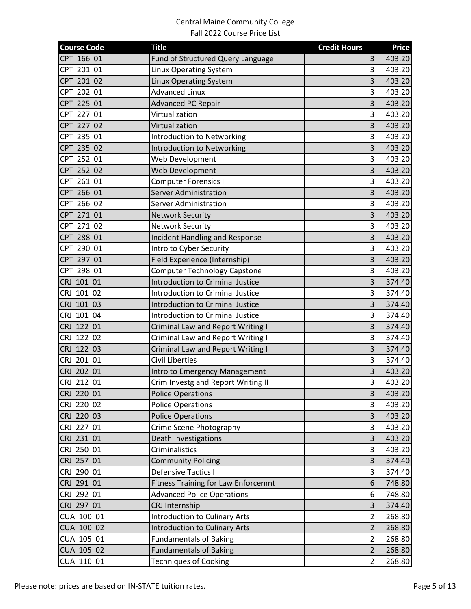| <b>Course Code</b> | <b>Title</b>                               | <b>Credit Hours</b>     | <b>Price</b> |
|--------------------|--------------------------------------------|-------------------------|--------------|
| CPT 166 01         | Fund of Structured Query Language          | 3                       | 403.20       |
| CPT 201 01         | <b>Linux Operating System</b>              | $\overline{3}$          | 403.20       |
| CPT 201 02         | Linux Operating System                     | $\overline{3}$          | 403.20       |
| CPT 202 01         | <b>Advanced Linux</b>                      | $\overline{\mathbf{3}}$ | 403.20       |
| CPT 225 01         | <b>Advanced PC Repair</b>                  | $\overline{3}$          | 403.20       |
| CPT 227 01         | Virtualization                             | 3                       | 403.20       |
| CPT 227 02         | Virtualization                             | $\overline{\mathbf{3}}$ | 403.20       |
| CPT 235 01         | <b>Introduction to Networking</b>          | 3                       | 403.20       |
| CPT 235 02         | <b>Introduction to Networking</b>          | $\overline{3}$          | 403.20       |
| CPT 252 01         | Web Development                            | $\overline{3}$          | 403.20       |
| CPT 252 02         | Web Development                            | 3                       | 403.20       |
| CPT 261 01         | <b>Computer Forensics I</b>                | $\overline{\mathbf{3}}$ | 403.20       |
| CPT 266 01         | <b>Server Administration</b>               | 3                       | 403.20       |
| CPT 266 02         | Server Administration                      | $\overline{\mathbf{3}}$ | 403.20       |
| CPT 271 01         | <b>Network Security</b>                    | $\overline{3}$          | 403.20       |
| CPT 271 02         | <b>Network Security</b>                    | $\overline{\mathbf{3}}$ | 403.20       |
| CPT 288 01         | <b>Incident Handling and Response</b>      | $\overline{\mathbf{3}}$ | 403.20       |
| CPT 290 01         | Intro to Cyber Security                    | $\overline{\mathbf{3}}$ | 403.20       |
| CPT 297 01         | Field Experience (Internship)              | 3                       | 403.20       |
| CPT 298 01         | <b>Computer Technology Capstone</b>        | 3                       | 403.20       |
| CRJ 101 01         | <b>Introduction to Criminal Justice</b>    | $\overline{\mathbf{3}}$ | 374.40       |
| CRJ 101 02         | <b>Introduction to Criminal Justice</b>    | $\overline{\mathbf{3}}$ | 374.40       |
| CRJ 101 03         | <b>Introduction to Criminal Justice</b>    | $\overline{\mathbf{3}}$ | 374.40       |
| CRJ 101 04         | <b>Introduction to Criminal Justice</b>    | $\overline{\mathbf{3}}$ | 374.40       |
| CRJ 122 01         | Criminal Law and Report Writing I          | 3                       | 374.40       |
| CRJ 122 02         | Criminal Law and Report Writing I          | $\overline{\mathbf{3}}$ | 374.40       |
| CRJ 122 03         | Criminal Law and Report Writing I          | 3                       | 374.40       |
| CRJ 201 01         | <b>Civil Liberties</b>                     | $\overline{3}$          | 374.40       |
| CRJ 202 01         | Intro to Emergency Management              | $\overline{\mathbf{3}}$ | 403.20       |
| CRJ 212 01         | Crim Investg and Report Writing II         | $\vert$ 3               | 403.20       |
| CRJ 220 01         | <b>Police Operations</b>                   | 3                       | 403.20       |
| CRJ 220 02         | <b>Police Operations</b>                   | 3                       | 403.20       |
| CRJ 220 03         | <b>Police Operations</b>                   | $\overline{3}$          | 403.20       |
| CRJ 227 01         | Crime Scene Photography                    | $\overline{\mathbf{3}}$ | 403.20       |
| CRJ 231 01         | Death Investigations                       | $\overline{\mathbf{3}}$ | 403.20       |
| CRJ 250 01         | Criminalistics                             | $\overline{\mathbf{3}}$ | 403.20       |
| CRJ 257 01         | <b>Community Policing</b>                  | 3                       | 374.40       |
| CRJ 290 01         | Defensive Tactics I                        | $\vert$ 3               | 374.40       |
| CRJ 291 01         | <b>Fitness Training for Law Enforcemnt</b> | $6 \overline{6}$        | 748.80       |
| CRJ 292 01         | <b>Advanced Police Operations</b>          | 6                       | 748.80       |
| CRJ 297 01         | CRJ Internship                             | $\overline{3}$          | 374.40       |
| CUA 100 01         | <b>Introduction to Culinary Arts</b>       | $\overline{2}$          | 268.80       |
| CUA 100 02         | <b>Introduction to Culinary Arts</b>       | $\overline{2}$          | 268.80       |
| CUA 105 01         | <b>Fundamentals of Baking</b>              | $\overline{2}$          | 268.80       |
| CUA 105 02         | <b>Fundamentals of Baking</b>              | $\overline{c}$          | 268.80       |
| CUA 110 01         | <b>Techniques of Cooking</b>               | $\overline{2}$          | 268.80       |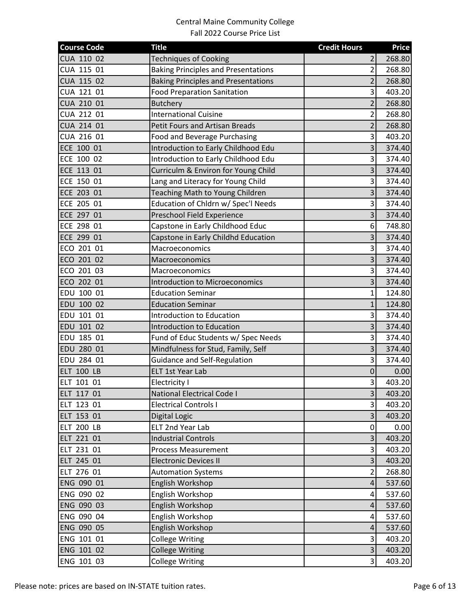| <b>Course Code</b> | <b>Title</b>                               | <b>Credit Hours</b>     | <b>Price</b> |
|--------------------|--------------------------------------------|-------------------------|--------------|
| CUA 110 02         | <b>Techniques of Cooking</b>               | 2                       | 268.80       |
| CUA 115 01         | <b>Baking Principles and Presentations</b> | $\overline{2}$          | 268.80       |
| CUA 115 02         | <b>Baking Principles and Presentations</b> | $\overline{2}$          | 268.80       |
| CUA 121 01         | <b>Food Preparation Sanitation</b>         | $\overline{3}$          | 403.20       |
| CUA 210 01         | <b>Butchery</b>                            | $\overline{2}$          | 268.80       |
| CUA 212 01         | <b>International Cuisine</b>               | $\overline{2}$          | 268.80       |
| CUA 214 01         | <b>Petit Fours and Artisan Breads</b>      | $\overline{2}$          | 268.80       |
| CUA 216 01         | Food and Beverage Purchasing               | $\overline{3}$          | 403.20       |
| ECE 100 01         | Introduction to Early Childhood Edu        | $\overline{3}$          | 374.40       |
| ECE 100 02         | Introduction to Early Childhood Edu        | $\overline{3}$          | 374.40       |
| ECE 113 01         | Curriculm & Environ for Young Child        | $\overline{\mathbf{3}}$ | 374.40       |
| ECE 150 01         | Lang and Literacy for Young Child          | $\mathsf{3}$            | 374.40       |
| ECE 203 01         | Teaching Math to Young Children            | 3                       | 374.40       |
| ECE 205 01         | Education of Chldrn w/ Spec'l Needs        | $\overline{\mathbf{3}}$ | 374.40       |
| ECE 297 01         | Preschool Field Experience                 | 3                       | 374.40       |
| ECE 298 01         | Capstone in Early Childhood Educ           | 6                       | 748.80       |
| ECE 299 01         | Capstone in Early Childhd Education        | $\overline{\mathbf{3}}$ | 374.40       |
| ECO 201 01         | Macroeconomics                             | $\overline{3}$          | 374.40       |
| ECO 201 02         | Macroeconomics                             | $\overline{\mathbf{3}}$ | 374.40       |
| ECO 201 03         | Macroeconomics                             | 3                       | 374.40       |
| ECO 202 01         | <b>Introduction to Microeconomics</b>      | $\overline{3}$          | 374.40       |
| EDU 100 01         | <b>Education Seminar</b>                   | $\mathbf{1}$            | 124.80       |
| EDU 100 02         | <b>Education Seminar</b>                   | $\mathbf{1}$            | 124.80       |
| EDU 101 01         | <b>Introduction to Education</b>           | $\overline{\mathbf{3}}$ | 374.40       |
| EDU 101 02         | <b>Introduction to Education</b>           | $\overline{\mathbf{3}}$ | 374.40       |
| EDU 185 01         | Fund of Educ Students w/ Spec Needs        | $\overline{\mathbf{3}}$ | 374.40       |
| EDU 280 01         | Mindfulness for Stud, Family, Self         | 3                       | 374.40       |
| EDU 284 01         | <b>Guidance and Self-Regulation</b>        | $\overline{3}$          | 374.40       |
| <b>ELT 100 LB</b>  | <b>ELT 1st Year Lab</b>                    | 0                       | 0.00         |
| ELT 101 01         | Electricity I                              | $\overline{\mathsf{3}}$ | 403.20       |
| ELT 117 01         | National Electrical Code I                 | $\overline{\mathbf{3}}$ | 403.20       |
| ELT 123 01         | <b>Electrical Controls I</b>               | 3                       | 403.20       |
| ELT 153 01         | Digital Logic                              | $\overline{\mathbf{3}}$ | 403.20       |
| <b>ELT 200 LB</b>  | <b>ELT 2nd Year Lab</b>                    | 0                       | 0.00         |
| ELT 221 01         | <b>Industrial Controls</b>                 | $\overline{\mathbf{3}}$ | 403.20       |
| ELT 231 01         | <b>Process Measurement</b>                 | $\overline{\mathbf{3}}$ | 403.20       |
| ELT 245 01         | <b>Electronic Devices II</b>               | $\overline{\mathbf{3}}$ | 403.20       |
| ELT 276 01         | <b>Automation Systems</b>                  | $\overline{2}$          | 268.80       |
| ENG 090 01         | English Workshop                           | 4                       | 537.60       |
| ENG 090 02         | English Workshop                           | 4                       | 537.60       |
| ENG 090 03         | English Workshop                           | 4                       | 537.60       |
| ENG 090 04         | English Workshop                           | 4                       | 537.60       |
| ENG 090 05         | English Workshop                           | 4                       | 537.60       |
| ENG 101 01         | <b>College Writing</b>                     | $\overline{\mathbf{3}}$ | 403.20       |
| ENG 101 02         | <b>College Writing</b>                     | $\overline{\mathbf{3}}$ | 403.20       |
| ENG 101 03         | <b>College Writing</b>                     | $\vert$ 3               | 403.20       |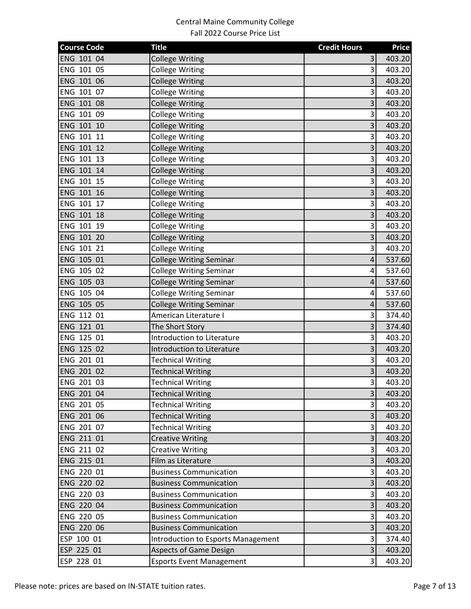| <b>Course Code</b> | <b>Title</b>                              | <b>Credit Hours</b>     | <b>Price</b> |
|--------------------|-------------------------------------------|-------------------------|--------------|
| ENG 101 04         | <b>College Writing</b>                    | 3                       | 403.20       |
| ENG 101 05         | <b>College Writing</b>                    | 3                       | 403.20       |
| ENG 101 06         | <b>College Writing</b>                    | 3                       | 403.20       |
| ENG 101 07         | <b>College Writing</b>                    | 3                       | 403.20       |
| ENG 101 08         | <b>College Writing</b>                    | 3                       | 403.20       |
| ENG 101 09         | <b>College Writing</b>                    | 3                       | 403.20       |
| ENG 101 10         | <b>College Writing</b>                    | 3                       | 403.20       |
| ENG 101 11         | <b>College Writing</b>                    | 3                       | 403.20       |
| ENG 101 12         | <b>College Writing</b>                    | 3                       | 403.20       |
| ENG 101 13         | <b>College Writing</b>                    | 3                       | 403.20       |
| ENG 101 14         | <b>College Writing</b>                    | 3                       | 403.20       |
| ENG 101 15         | <b>College Writing</b>                    | 3                       | 403.20       |
| ENG 101 16         | <b>College Writing</b>                    | 3                       | 403.20       |
| ENG 101 17         | <b>College Writing</b>                    | 3                       | 403.20       |
| ENG 101 18         | <b>College Writing</b>                    | 3                       | 403.20       |
| ENG 101 19         | <b>College Writing</b>                    | $\overline{\mathbf{3}}$ | 403.20       |
| ENG 101 20         | <b>College Writing</b>                    | 3                       | 403.20       |
| ENG 101 21         | <b>College Writing</b>                    | $\overline{\mathbf{3}}$ | 403.20       |
| ENG 105 01         | <b>College Writing Seminar</b>            | 4                       | 537.60       |
| ENG 105 02         | <b>College Writing Seminar</b>            | 4                       | 537.60       |
| ENG 105 03         | <b>College Writing Seminar</b>            | 4                       | 537.60       |
| ENG 105 04         | <b>College Writing Seminar</b>            | 4                       | 537.60       |
| ENG 105 05         | <b>College Writing Seminar</b>            | 4                       | 537.60       |
| ENG 112 01         | American Literature I                     | 3                       | 374.40       |
| ENG 121 01         | The Short Story                           | 3                       | 374.40       |
| ENG 125 01         | Introduction to Literature                | 3                       | 403.20       |
| ENG 125 02         | Introduction to Literature                | 3                       | 403.20       |
| ENG 201 01         | <b>Technical Writing</b>                  | 3                       | 403.20       |
| ENG 201 02         | <b>Technical Writing</b>                  | 3                       | 403.20       |
| ENG 201 03         | <b>Technical Writing</b>                  | $\overline{3}$          | 403.20       |
| ENG 201 04         | <b>Technical Writing</b>                  | 3                       | 403.20       |
| ENG 201 05         | <b>Technical Writing</b>                  | 3                       | 403.20       |
| ENG 201 06         | <b>Technical Writing</b>                  | 3                       | 403.20       |
| ENG 201 07         | <b>Technical Writing</b>                  | 3                       | 403.20       |
| ENG 211 01         | <b>Creative Writing</b>                   | $\overline{3}$          | 403.20       |
| ENG 211 02         | <b>Creative Writing</b>                   | 3                       | 403.20       |
| ENG 215 01         | Film as Literature                        | 3                       | 403.20       |
| ENG 220 01         | <b>Business Communication</b>             | $\overline{\mathbf{3}}$ | 403.20       |
| ENG 220 02         | <b>Business Communication</b>             | 3                       | 403.20       |
| ENG 220 03         | <b>Business Communication</b>             | $\overline{\mathbf{3}}$ | 403.20       |
| ENG 220 04         | <b>Business Communication</b>             | $\overline{\mathbf{3}}$ | 403.20       |
| ENG 220 05         | <b>Business Communication</b>             | $\overline{\mathbf{3}}$ | 403.20       |
| ENG 220 06         | <b>Business Communication</b>             | $\overline{\mathbf{3}}$ | 403.20       |
| ESP 100 01         | <b>Introduction to Esports Management</b> | $\overline{\mathbf{3}}$ | 374.40       |
| ESP 225 01         | <b>Aspects of Game Design</b>             | $\overline{\mathbf{3}}$ | 403.20       |
| ESP 228 01         | <b>Esports Event Management</b>           | $\overline{\mathbf{3}}$ | 403.20       |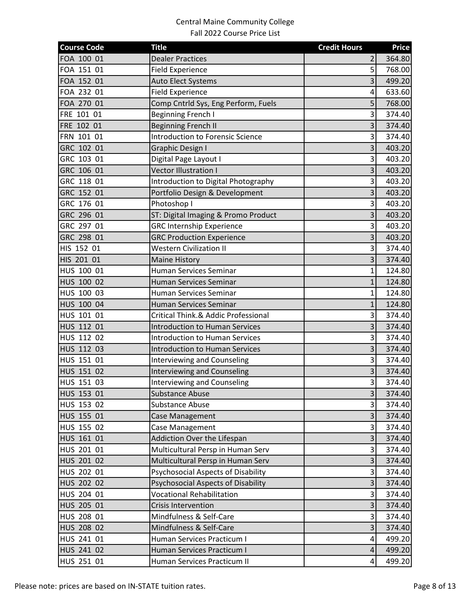| <b>Course Code</b> | <b>Title</b>                            | <b>Credit Hours</b>     | <b>Price</b> |
|--------------------|-----------------------------------------|-------------------------|--------------|
| FOA 100 01         | <b>Dealer Practices</b>                 | 2                       | 364.80       |
| FOA 151 01         | <b>Field Experience</b>                 | $\overline{5}$          | 768.00       |
| FOA 152 01         | <b>Auto Elect Systems</b>               | $\overline{3}$          | 499.20       |
| FOA 232 01         | <b>Field Experience</b>                 | 4                       | 633.60       |
| FOA 270 01         | Comp Cntrld Sys, Eng Perform, Fuels     | 5 <sup>1</sup>          | 768.00       |
| FRE 101 01         | <b>Beginning French I</b>               | $\overline{3}$          | 374.40       |
| FRE 102 01         | <b>Beginning French II</b>              | 3                       | 374.40       |
| FRN 101 01         | <b>Introduction to Forensic Science</b> | 3                       | 374.40       |
| GRC 102 01         | Graphic Design I                        | $\overline{3}$          | 403.20       |
| GRC 103 01         | Digital Page Layout I                   | $\overline{3}$          | 403.20       |
| GRC 106 01         | <b>Vector Illustration I</b>            | $\overline{\mathbf{3}}$ | 403.20       |
| GRC 118 01         | Introduction to Digital Photography     | $\overline{\mathbf{3}}$ | 403.20       |
| GRC 152 01         | Portfolio Design & Development          | 3                       | 403.20       |
| GRC 176 01         | Photoshop I                             | $\overline{\mathbf{3}}$ | 403.20       |
| GRC 296 01         | ST: Digital Imaging & Promo Product     | 3                       | 403.20       |
| GRC 297 01         | <b>GRC Internship Experience</b>        | $\overline{3}$          | 403.20       |
| GRC 298 01         | <b>GRC Production Experience</b>        | $\overline{\mathbf{3}}$ | 403.20       |
| HIS 152 01         | <b>Western Civilization II</b>          | $\overline{3}$          | 374.40       |
| HIS 201 01         | <b>Maine History</b>                    | $\overline{\mathbf{3}}$ | 374.40       |
| HUS 100 01         | Human Services Seminar                  | 1                       | 124.80       |
| HUS 100 02         | Human Services Seminar                  | $\mathbf{1}$            | 124.80       |
| HUS 100 03         | Human Services Seminar                  | $\mathbf{1}$            | 124.80       |
| HUS 100 04         | Human Services Seminar                  | $\mathbf{1}$            | 124.80       |
| HUS 101 01         | Critical Think.& Addic Professional     | $\overline{\mathbf{3}}$ | 374.40       |
| HUS 112 01         | <b>Introduction to Human Services</b>   | $\overline{\mathbf{3}}$ | 374.40       |
| HUS 112 02         | <b>Introduction to Human Services</b>   | $\overline{\mathbf{3}}$ | 374.40       |
| HUS 112 03         | <b>Introduction to Human Services</b>   | 3                       | 374.40       |
| HUS 151 01         | <b>Interviewing and Counseling</b>      | $\overline{3}$          | 374.40       |
| HUS 151 02         | <b>Interviewing and Counseling</b>      | $\overline{3}$          | 374.40       |
| HUS 151 03         | <b>Interviewing and Counseling</b>      | $\overline{\mathsf{3}}$ | 374.40       |
| HUS 153 01         | <b>Substance Abuse</b>                  | $\overline{\mathbf{3}}$ | 374.40       |
| HUS 153 02         | <b>Substance Abuse</b>                  | 3                       | 374.40       |
| HUS 155 01         | Case Management                         | $\overline{\mathbf{3}}$ | 374.40       |
| HUS 155 02         | Case Management                         | $\overline{\mathbf{3}}$ | 374.40       |
| HUS 161 01         | Addiction Over the Lifespan             | $\overline{\mathbf{3}}$ | 374.40       |
| HUS 201 01         | Multicultural Persp in Human Serv       | $\overline{\mathbf{3}}$ | 374.40       |
| HUS 201 02         | Multicultural Persp in Human Serv       | $\overline{3}$          | 374.40       |
| HUS 202 01         | Psychosocial Aspects of Disability      | $\overline{\mathbf{3}}$ | 374.40       |
| HUS 202 02         | Psychosocial Aspects of Disability      | 3                       | 374.40       |
| HUS 204 01         | <b>Vocational Rehabilitation</b>        | $\overline{3}$          | 374.40       |
| HUS 205 01         | <b>Crisis Intervention</b>              | $\overline{\mathbf{3}}$ | 374.40       |
| HUS 208 01         | Mindfulness & Self-Care                 | $\overline{\mathbf{3}}$ | 374.40       |
| HUS 208 02         | Mindfulness & Self-Care                 | $\overline{\mathbf{3}}$ | 374.40       |
| HUS 241 01         | Human Services Practicum I              | $\overline{a}$          | 499.20       |
| HUS 241 02         | Human Services Practicum I              | $\overline{\mathbf{r}}$ | 499.20       |
| HUS 251 01         | Human Services Practicum II             | $\overline{4}$          | 499.20       |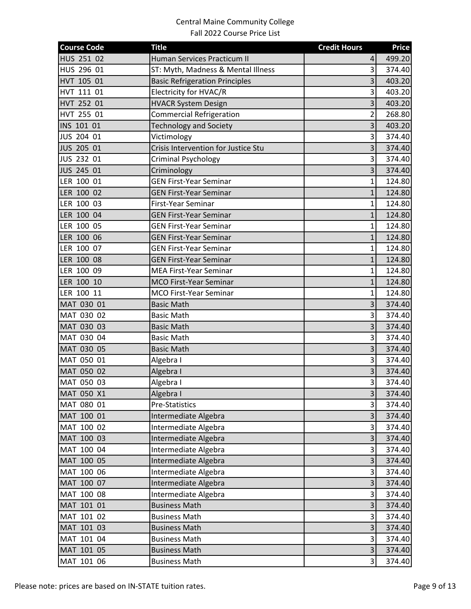| <b>Course Code</b> | <b>Title</b>                          | <b>Credit Hours</b>     | <b>Price</b> |
|--------------------|---------------------------------------|-------------------------|--------------|
| HUS 251 02         | Human Services Practicum II           | 4                       | 499.20       |
| HUS 296 01         | ST: Myth, Madness & Mental Illness    | 3                       | 374.40       |
| HVT 105 01         | <b>Basic Refrigeration Principles</b> | 3                       | 403.20       |
| HVT 111 01         | Electricity for HVAC/R                | 3                       | 403.20       |
| HVT 252 01         | <b>HVACR System Design</b>            | 3                       | 403.20       |
| HVT 255 01         | <b>Commercial Refrigeration</b>       | $\overline{2}$          | 268.80       |
| INS 101 01         | <b>Technology and Society</b>         | 3                       | 403.20       |
| JUS 204 01         | Victimology                           | 3                       | 374.40       |
| JUS 205 01         | Crisis Intervention for Justice Stu   | 3                       | 374.40       |
| JUS 232 01         | <b>Criminal Psychology</b>            | 3                       | 374.40       |
| JUS 245 01         | Criminology                           | 3                       | 374.40       |
| LER 100 01         | <b>GEN First-Year Seminar</b>         | $\mathbf 1$             | 124.80       |
| LER 100 02         | <b>GEN First-Year Seminar</b>         | $\mathbf{1}$            | 124.80       |
| LER 100 03         | First-Year Seminar                    | 1                       | 124.80       |
| LER 100 04         | <b>GEN First-Year Seminar</b>         | $\mathbf{1}$            | 124.80       |
| LER 100 05         | <b>GEN First-Year Seminar</b>         | $\mathbf{1}$            | 124.80       |
| LER 100 06         | <b>GEN First-Year Seminar</b>         | $\mathbf{1}$            | 124.80       |
| LER 100 07         | <b>GEN First-Year Seminar</b>         | $\mathbf 1$             | 124.80       |
| LER 100 08         | <b>GEN First-Year Seminar</b>         | 1                       | 124.80       |
| LER 100 09         | <b>MEA First-Year Seminar</b>         | 1                       | 124.80       |
| LER 100 10         | MCO First-Year Seminar                | $\mathbf{1}$            | 124.80       |
| LER 100 11         | MCO First-Year Seminar                | 1                       | 124.80       |
| MAT 030 01         | <b>Basic Math</b>                     | 3                       | 374.40       |
| MAT 030 02         | <b>Basic Math</b>                     | 3                       | 374.40       |
| MAT 030 03         | <b>Basic Math</b>                     | 3                       | 374.40       |
| MAT 030 04         | <b>Basic Math</b>                     | 3                       | 374.40       |
| MAT 030 05         | <b>Basic Math</b>                     | 3                       | 374.40       |
| MAT 050 01         | Algebra I                             | 3                       | 374.40       |
| MAT 050 02         | Algebra I                             | 3                       | 374.40       |
| MAT 050 03         | Algebra I                             | $\overline{\mathbf{3}}$ | 374.40       |
| MAT 050 X1         | Algebra I                             | 3                       | 374.40       |
| MAT 080 01         | Pre-Statistics                        | 3                       | 374.40       |
| MAT 100 01         | Intermediate Algebra                  | 3                       | 374.40       |
| MAT 100 02         | Intermediate Algebra                  | 3                       | 374.40       |
| MAT 100 03         | Intermediate Algebra                  | 3                       | 374.40       |
| MAT 100 04         | Intermediate Algebra                  | 3                       | 374.40       |
| MAT 100 05         | Intermediate Algebra                  | 3                       | 374.40       |
| MAT 100 06         | Intermediate Algebra                  | 3                       | 374.40       |
| MAT 100 07         | Intermediate Algebra                  | 3                       | 374.40       |
| MAT 100 08         | Intermediate Algebra                  | 3                       | 374.40       |
| MAT 101 01         | <b>Business Math</b>                  | $\overline{\mathbf{3}}$ | 374.40       |
| MAT 101 02         | <b>Business Math</b>                  | 3                       | 374.40       |
| MAT 101 03         | <b>Business Math</b>                  | 3                       | 374.40       |
| MAT 101 04         | <b>Business Math</b>                  | 3                       | 374.40       |
| MAT 101 05         | <b>Business Math</b>                  | 3                       | 374.40       |
| MAT 101 06         | <b>Business Math</b>                  | 3                       | 374.40       |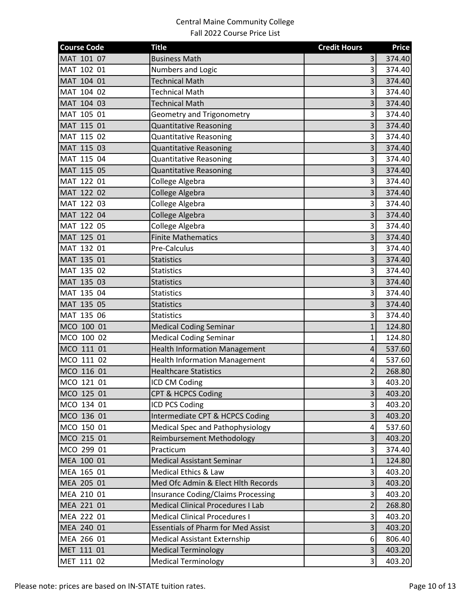| <b>Course Code</b> | <b>Title</b>                              | <b>Credit Hours</b>     | <b>Price</b> |
|--------------------|-------------------------------------------|-------------------------|--------------|
| MAT 101 07         | <b>Business Math</b>                      | 3                       | 374.40       |
| MAT 102 01         | Numbers and Logic                         | 3                       | 374.40       |
| MAT 104 01         | <b>Technical Math</b>                     | 3                       | 374.40       |
| MAT 104 02         | <b>Technical Math</b>                     | 3                       | 374.40       |
| MAT 104 03         | <b>Technical Math</b>                     | 3                       | 374.40       |
| MAT 105 01         | <b>Geometry and Trigonometry</b>          | 3                       | 374.40       |
| MAT 115 01         | <b>Quantitative Reasoning</b>             | 3                       | 374.40       |
| MAT 115 02         | <b>Quantitative Reasoning</b>             | 3                       | 374.40       |
| MAT 115 03         | <b>Quantitative Reasoning</b>             | 3                       | 374.40       |
| MAT 115 04         | <b>Quantitative Reasoning</b>             | 3                       | 374.40       |
| MAT 115 05         | Quantitative Reasoning                    | 3                       | 374.40       |
| MAT 122 01         | College Algebra                           | 3                       | 374.40       |
| MAT 122 02         | College Algebra                           | 3                       | 374.40       |
| MAT 122 03         | College Algebra                           | 3                       | 374.40       |
| MAT 122 04         | College Algebra                           | 3                       | 374.40       |
| MAT 122 05         | College Algebra                           | 3                       | 374.40       |
| MAT 125 01         | <b>Finite Mathematics</b>                 | 3                       | 374.40       |
| MAT 132 01         | Pre-Calculus                              | 3                       | 374.40       |
| MAT 135 01         | <b>Statistics</b>                         | 3                       | 374.40       |
| MAT 135 02         | <b>Statistics</b>                         | 3                       | 374.40       |
| MAT 135 03         | <b>Statistics</b>                         | 3                       | 374.40       |
| MAT 135 04         | <b>Statistics</b>                         | 3                       | 374.40       |
| MAT 135 05         | <b>Statistics</b>                         | 3                       | 374.40       |
| MAT 135 06         | <b>Statistics</b>                         | 3                       | 374.40       |
| MCO 100 01         | <b>Medical Coding Seminar</b>             | $\mathbf{1}$            | 124.80       |
| MCO 100 02         | <b>Medical Coding Seminar</b>             | $\mathbf{1}$            | 124.80       |
| MCO 111 01         | <b>Health Information Management</b>      | 4                       | 537.60       |
| MCO 111 02         | <b>Health Information Management</b>      | 4                       | 537.60       |
| MCO 116 01         | <b>Healthcare Statistics</b>              | $\overline{2}$          | 268.80       |
| MCO 121 01         | ICD CM Coding                             | $\overline{\mathbf{3}}$ | 403.20       |
| MCO 125 01         | <b>CPT &amp; HCPCS Coding</b>             | 3                       | 403.20       |
| MCO 134 01         | ICD PCS Coding                            | 3                       | 403.20       |
| MCO 136 01         | Intermediate CPT & HCPCS Coding           | 3                       | 403.20       |
| MCO 150 01         | <b>Medical Spec and Pathophysiology</b>   | 4                       | 537.60       |
| MCO 215 01         | Reimbursement Methodology                 | 3                       | 403.20       |
| MCO 299 01         | Practicum                                 | 3                       | 374.40       |
| MEA 100 01         | <b>Medical Assistant Seminar</b>          | $\mathbf{1}$            | 124.80       |
| MEA 165 01         | Medical Ethics & Law                      | 3                       | 403.20       |
| MEA 205 01         | Med Ofc Admin & Elect Hith Records        | 3                       | 403.20       |
| MEA 210 01         | <b>Insurance Coding/Claims Processing</b> | $\overline{\mathbf{3}}$ | 403.20       |
| MEA 221 01         | <b>Medical Clinical Procedures I Lab</b>  | $\overline{2}$          | 268.80       |
| MEA 222 01         | <b>Medical Clinical Procedures I</b>      | 3                       | 403.20       |
| MEA 240 01         | <b>Essentials of Pharm for Med Assist</b> | $\overline{3}$          | 403.20       |
| MEA 266 01         | <b>Medical Assistant Externship</b>       | 6                       | 806.40       |
| MET 111 01         | <b>Medical Terminology</b>                | 3                       | 403.20       |
| MET 111 02         | <b>Medical Terminology</b>                | 3                       | 403.20       |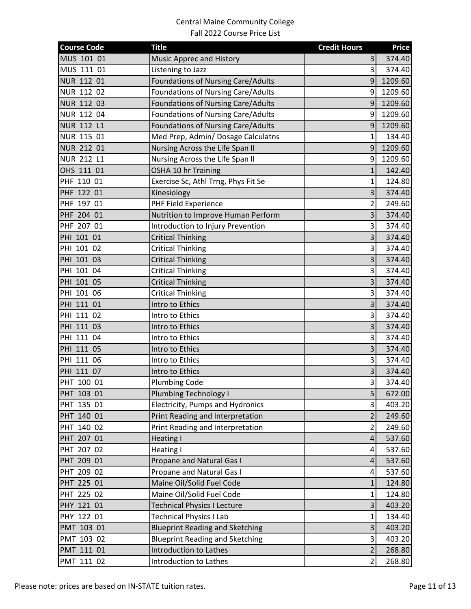| <b>Course Code</b> | <b>Title</b>                              | <b>Credit Hours</b>     | <b>Price</b> |
|--------------------|-------------------------------------------|-------------------------|--------------|
| MUS 101 01         | Music Apprec and History                  | $\overline{3}$          | 374.40       |
| MUS 111 01         | Listening to Jazz                         | $\mathsf{3}$            | 374.40       |
| NUR 112 01         | <b>Foundations of Nursing Care/Adults</b> | 9                       | 1209.60      |
| NUR 112 02         | Foundations of Nursing Care/Adults        | 9                       | 1209.60      |
| NUR 112 03         | <b>Foundations of Nursing Care/Adults</b> | 9                       | 1209.60      |
| NUR 112 04         | <b>Foundations of Nursing Care/Adults</b> | 9                       | 1209.60      |
| <b>NUR 112 L1</b>  | Foundations of Nursing Care/Adults        | $\overline{9}$          | 1209.60      |
| NUR 115 01         | Med Prep, Admin/ Dosage Calculatns        | $\mathbf{1}$            | 134.40       |
| <b>NUR 212 01</b>  | Nursing Across the Life Span II           | 9                       | 1209.60      |
| <b>NUR 212 L1</b>  | Nursing Across the Life Span II           | 9                       | 1209.60      |
| OHS 111 01         | OSHA 10 hr Training                       | $\mathbf{1}$            | 142.40       |
| PHF 110 01         | Exercise Sc, Athl Trng, Phys Fit Se       | $\mathbf{1}$            | 124.80       |
| PHF 122 01         | Kinesiology                               | $\overline{\mathbf{3}}$ | 374.40       |
| PHF 197 01         | PHF Field Experience                      | $\overline{2}$          | 249.60       |
| PHF 204 01         | Nutrition to Improve Human Perform        | 3                       | 374.40       |
| PHF 207 01         | Introduction to Injury Prevention         | $\overline{\mathbf{3}}$ | 374.40       |
| PHI 101 01         | <b>Critical Thinking</b>                  | 3                       | 374.40       |
| PHI 101 02         | <b>Critical Thinking</b>                  | $\overline{\mathbf{3}}$ | 374.40       |
| PHI 101 03         | <b>Critical Thinking</b>                  | $\overline{\mathbf{3}}$ | 374.40       |
| PHI 101 04         | <b>Critical Thinking</b>                  | $\overline{\mathbf{3}}$ | 374.40       |
| PHI 101 05         | <b>Critical Thinking</b>                  | $\overline{\mathbf{3}}$ | 374.40       |
| PHI 101 06         | <b>Critical Thinking</b>                  | $\overline{\mathbf{3}}$ | 374.40       |
| PHI 111 01         | Intro to Ethics                           | 3                       | 374.40       |
| PHI 111 02         | Intro to Ethics                           | $\overline{\mathbf{3}}$ | 374.40       |
| PHI 111 03         | Intro to Ethics                           | $\overline{\mathbf{3}}$ | 374.40       |
| PHI 111 04         | Intro to Ethics                           | $\overline{\mathbf{3}}$ | 374.40       |
| PHI 111 05         | Intro to Ethics                           | $\overline{3}$          | 374.40       |
| PHI 111 06         | Intro to Ethics                           | $\overline{\mathbf{3}}$ | 374.40       |
| PHI 111 07         | Intro to Ethics                           | 3                       | 374.40       |
| PHT 100 01         | <b>Plumbing Code</b>                      | $\overline{\mathsf{3}}$ | 374.40       |
| PHT 103 01         | <b>Plumbing Technology I</b>              | 5                       | 672.00       |
| PHT 135 01         | Electricity, Pumps and Hydronics          | $\overline{\mathbf{3}}$ | 403.20       |
| PHT 140 01         | Print Reading and Interpretation          | $\overline{2}$          | 249.60       |
| PHT 140 02         | Print Reading and Interpretation          | $\overline{2}$          | 249.60       |
| PHT 207 01         | <b>Heating I</b>                          | 4                       | 537.60       |
| PHT 207 02         | <b>Heating I</b>                          | 4                       | 537.60       |
| PHT 209 01         | Propane and Natural Gas I                 | 4                       | 537.60       |
| PHT 209 02         | Propane and Natural Gas I                 | 4                       | 537.60       |
| PHT 225 01         | Maine Oil/Solid Fuel Code                 | $\mathbf{1}$            | 124.80       |
| PHT 225 02         | Maine Oil/Solid Fuel Code                 | $\mathbf{1}$            | 124.80       |
| PHY 121 01         | Technical Physics I Lecture               | 3                       | 403.20       |
| PHY 122 01         | <b>Technical Physics I Lab</b>            | $\mathbf{1}$            | 134.40       |
| PMT 103 01         | <b>Blueprint Reading and Sketching</b>    | $\overline{\mathbf{3}}$ | 403.20       |
| PMT 103 02         | <b>Blueprint Reading and Sketching</b>    | $\overline{\mathbf{3}}$ | 403.20       |
| PMT 111 01         | Introduction to Lathes                    | $\overline{2}$          | 268.80       |
| PMT 111 02         | Introduction to Lathes                    | $\overline{2}$          | 268.80       |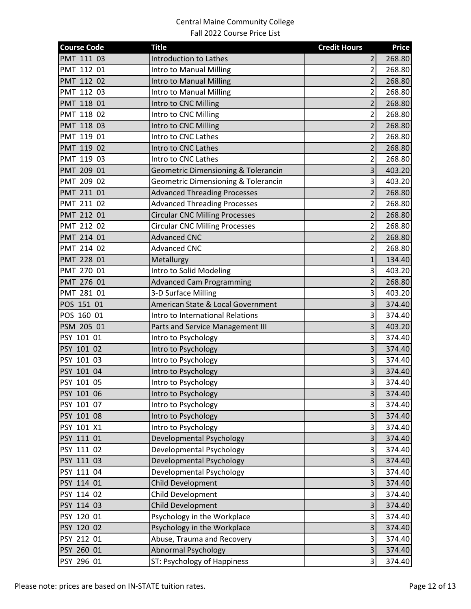| <b>Course Code</b> | <b>Title</b>                                   | <b>Credit Hours</b>     | <b>Price</b> |
|--------------------|------------------------------------------------|-------------------------|--------------|
| PMT 111 03         | <b>Introduction to Lathes</b>                  | 2                       | 268.80       |
| PMT 112 01         | Intro to Manual Milling                        | $\overline{2}$          | 268.80       |
| PMT 112 02         | Intro to Manual Milling                        | $\overline{2}$          | 268.80       |
| PMT 112 03         | Intro to Manual Milling                        | $\overline{2}$          | 268.80       |
| PMT 118 01         | Intro to CNC Milling                           | $\overline{2}$          | 268.80       |
| PMT 118 02         | Intro to CNC Milling                           | $\overline{2}$          | 268.80       |
| PMT 118 03         | Intro to CNC Milling                           | $\overline{2}$          | 268.80       |
| PMT 119 01         | Intro to CNC Lathes                            | $\overline{2}$          | 268.80       |
| PMT 119 02         | Intro to CNC Lathes                            | $\overline{2}$          | 268.80       |
| PMT 119 03         | Intro to CNC Lathes                            | 2                       | 268.80       |
| PMT 209 01         | <b>Geometric Dimensioning &amp; Tolerancin</b> | $\overline{\mathbf{3}}$ | 403.20       |
| PMT 209 02         | <b>Geometric Dimensioning &amp; Tolerancin</b> | $\overline{\mathbf{3}}$ | 403.20       |
| PMT 211 01         | <b>Advanced Threading Processes</b>            | $\overline{2}$          | 268.80       |
| PMT 211 02         | <b>Advanced Threading Processes</b>            | $\overline{2}$          | 268.80       |
| PMT 212 01         | <b>Circular CNC Milling Processes</b>          | $\overline{2}$          | 268.80       |
| PMT 212 02         | <b>Circular CNC Milling Processes</b>          | $\overline{2}$          | 268.80       |
| PMT 214 01         | <b>Advanced CNC</b>                            | $\overline{2}$          | 268.80       |
| PMT 214 02         | <b>Advanced CNC</b>                            | $\overline{2}$          | 268.80       |
| PMT 228 01         | Metallurgy                                     | $\mathbf{1}$            | 134.40       |
| PMT 270 01         | Intro to Solid Modeling                        | 3                       | 403.20       |
| PMT 276 01         | <b>Advanced Cam Programming</b>                | $\overline{2}$          | 268.80       |
| PMT 281 01         | 3-D Surface Milling                            | $\overline{\mathbf{3}}$ | 403.20       |
| POS 151 01         | American State & Local Government              | $\overline{3}$          | 374.40       |
| POS 160 01         | Intro to International Relations               | $\overline{\mathbf{3}}$ | 374.40       |
| PSM 205 01         | Parts and Service Management III               | 3                       | 403.20       |
| PSY 101 01         | Intro to Psychology                            | $\overline{\mathbf{3}}$ | 374.40       |
| PSY 101 02         | Intro to Psychology                            | 3                       | 374.40       |
| PSY 101 03         | Intro to Psychology                            | $\overline{3}$          | 374.40       |
| PSY 101 04         | Intro to Psychology                            | $\overline{\mathbf{3}}$ | 374.40       |
| PSY 101 05         | Intro to Psychology                            | $\overline{\mathsf{3}}$ | 374.40       |
| PSY 101 06         | Intro to Psychology                            | $\overline{\mathbf{3}}$ | 374.40       |
| PSY 101 07         | Intro to Psychology                            | 3                       | 374.40       |
| PSY 101 08         | Intro to Psychology                            | 3                       | 374.40       |
| PSY 101 X1         | Intro to Psychology                            | $\overline{\mathbf{3}}$ | 374.40       |
| PSY 111 01         | Developmental Psychology                       | $\overline{\mathbf{3}}$ | 374.40       |
| PSY 111 02         | Developmental Psychology                       | $\overline{\mathbf{3}}$ | 374.40       |
| PSY 111 03         | Developmental Psychology                       | 3                       | 374.40       |
| PSY 111 04         | Developmental Psychology                       | $\overline{\mathbf{3}}$ | 374.40       |
| PSY 114 01         | Child Development                              | 3                       | 374.40       |
| PSY 114 02         | Child Development                              | 3                       | 374.40       |
| PSY 114 03         | <b>Child Development</b>                       | $\overline{\mathbf{3}}$ | 374.40       |
| PSY 120 01         | Psychology in the Workplace                    | $\overline{\mathbf{3}}$ | 374.40       |
| PSY 120 02         | Psychology in the Workplace                    | $\overline{\mathbf{3}}$ | 374.40       |
| PSY 212 01         | Abuse, Trauma and Recovery                     | $\overline{\mathbf{3}}$ | 374.40       |
| PSY 260 01         | <b>Abnormal Psychology</b>                     | $\overline{\mathbf{3}}$ | 374.40       |
| PSY 296 01         | ST: Psychology of Happiness                    | $\overline{3}$          | 374.40       |